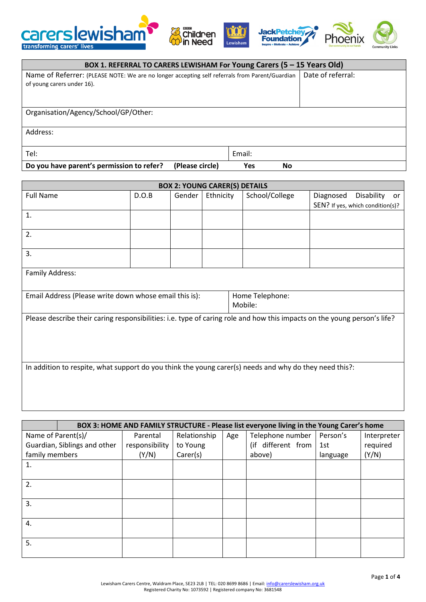







| BOX 1. REFERRAL TO CARERS LEWISHAM For Young Carers (5 - 15 Years Old)                                                       |                   |           |  |  |  |  |
|------------------------------------------------------------------------------------------------------------------------------|-------------------|-----------|--|--|--|--|
| Name of Referrer: (PLEASE NOTE: We are no longer accepting self referrals from Parent/Guardian<br>of young carers under 16). | Date of referral: |           |  |  |  |  |
| Organisation/Agency/School/GP/Other:                                                                                         |                   |           |  |  |  |  |
| Address:                                                                                                                     |                   |           |  |  |  |  |
| Tel:                                                                                                                         | Email:            |           |  |  |  |  |
| Do you have parent's permission to refer?<br>(Please circle)                                                                 | Yes               | <b>No</b> |  |  |  |  |

| <b>BOX 2: YOUNG CARER(S) DETAILS</b>                                                                                     |       |        |           |                            |           |                                  |    |
|--------------------------------------------------------------------------------------------------------------------------|-------|--------|-----------|----------------------------|-----------|----------------------------------|----|
| <b>Full Name</b>                                                                                                         | D.O.B | Gender | Ethnicity | School/College             | Diagnosed | Disability                       | or |
|                                                                                                                          |       |        |           |                            |           | SEN? If yes, which condition(s)? |    |
| 1.                                                                                                                       |       |        |           |                            |           |                                  |    |
|                                                                                                                          |       |        |           |                            |           |                                  |    |
| 2.                                                                                                                       |       |        |           |                            |           |                                  |    |
| 3.                                                                                                                       |       |        |           |                            |           |                                  |    |
| Family Address:                                                                                                          |       |        |           |                            |           |                                  |    |
| Email Address (Please write down whose email this is):                                                                   |       |        |           | Home Telephone:<br>Mobile: |           |                                  |    |
| Please describe their caring responsibilities: i.e. type of caring role and how this impacts on the young person's life? |       |        |           |                            |           |                                  |    |
| In addition to respite, what support do you think the young carer(s) needs and why do they need this?:                   |       |        |           |                            |           |                                  |    |

| BOX 3: HOME AND FAMILY STRUCTURE - Please list everyone living in the Young Carer's home |                |              |     |                    |          |             |  |  |  |
|------------------------------------------------------------------------------------------|----------------|--------------|-----|--------------------|----------|-------------|--|--|--|
| Name of Parent(s)/                                                                       | Parental       | Relationship | Age | Telephone number   | Person's | Interpreter |  |  |  |
| Guardian, Siblings and other                                                             | responsibility | to Young     |     | (if different from | 1st      | required    |  |  |  |
| family members                                                                           | (Y/N)          | Carer(s)     |     | above)             | language | (Y/N)       |  |  |  |
| 1.                                                                                       |                |              |     |                    |          |             |  |  |  |
|                                                                                          |                |              |     |                    |          |             |  |  |  |
| 2.                                                                                       |                |              |     |                    |          |             |  |  |  |
|                                                                                          |                |              |     |                    |          |             |  |  |  |
| 3.                                                                                       |                |              |     |                    |          |             |  |  |  |
|                                                                                          |                |              |     |                    |          |             |  |  |  |
| 4.                                                                                       |                |              |     |                    |          |             |  |  |  |
|                                                                                          |                |              |     |                    |          |             |  |  |  |
| 5.                                                                                       |                |              |     |                    |          |             |  |  |  |
|                                                                                          |                |              |     |                    |          |             |  |  |  |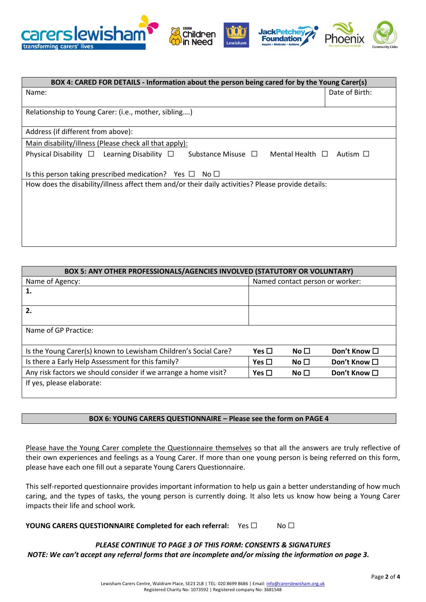

| BOX 4: CARED FOR DETAILS - Information about the person being cared for by the Young Carer(s)                       |                |  |  |  |  |
|---------------------------------------------------------------------------------------------------------------------|----------------|--|--|--|--|
| Name:                                                                                                               | Date of Birth: |  |  |  |  |
|                                                                                                                     |                |  |  |  |  |
| Relationship to Young Carer: (i.e., mother, sibling)                                                                |                |  |  |  |  |
| Address (if different from above):                                                                                  |                |  |  |  |  |
| Main disability/illness (Please check all that apply):                                                              |                |  |  |  |  |
| Substance Misuse $\Box$ Mental Health $\Box$ Autism $\Box$<br>Physical Disability $\Box$ Learning Disability $\Box$ |                |  |  |  |  |
| Is this person taking prescribed medication? Yes $\Box$ No $\Box$                                                   |                |  |  |  |  |
| How does the disability/illness affect them and/or their daily activities? Please provide details:                  |                |  |  |  |  |
|                                                                                                                     |                |  |  |  |  |
|                                                                                                                     |                |  |  |  |  |
|                                                                                                                     |                |  |  |  |  |
|                                                                                                                     |                |  |  |  |  |
|                                                                                                                     |                |  |  |  |  |

| BOX 5: ANY OTHER PROFESSIONALS/AGENCIES INVOLVED (STATUTORY OR VOLUNTARY) |            |                                 |                   |  |  |  |
|---------------------------------------------------------------------------|------------|---------------------------------|-------------------|--|--|--|
| Name of Agency:                                                           |            | Named contact person or worker: |                   |  |  |  |
| 1.                                                                        |            |                                 |                   |  |  |  |
|                                                                           |            |                                 |                   |  |  |  |
| 2.                                                                        |            |                                 |                   |  |  |  |
|                                                                           |            |                                 |                   |  |  |  |
| Name of GP Practice:                                                      |            |                                 |                   |  |  |  |
|                                                                           |            |                                 |                   |  |  |  |
| Is the Young Carer(s) known to Lewisham Children's Social Care?           | Yes $\Box$ | No $\Box$                       | Don't Know □      |  |  |  |
| Is there a Early Help Assessment for this family?                         | Yes $\Box$ | No $\Box$                       | Don't Know □      |  |  |  |
| Any risk factors we should consider if we arrange a home visit?           | Yes $\Box$ | No $\Box$                       | Don't Know $\Box$ |  |  |  |
| If yes, please elaborate:                                                 |            |                                 |                   |  |  |  |
|                                                                           |            |                                 |                   |  |  |  |

### **BOX 6: YOUNG CARERS QUESTIONNAIRE – Please see the form on PAGE 4**

Please have the Young Carer complete the Questionnaire themselves so that all the answers are truly reflective of their own experiences and feelings as a Young Carer. If more than one young person is being referred on this form, please have each one fill out a separate Young Carers Questionnaire.

This self-reported questionnaire provides important information to help us gain a better understanding of how much caring, and the types of tasks, the young person is currently doing. It also lets us know how being a Young Carer impacts their life and school work.

**YOUNG CARERS QUESTIONNAIRE Completed for each referral:** Yes □ No □

*PLEASE CONTINUE TO PAGE 3 OF THIS FORM: CONSENTS & SIGNATURES NOTE: We can't accept any referral forms that are incomplete and/or missing the information on page 3.*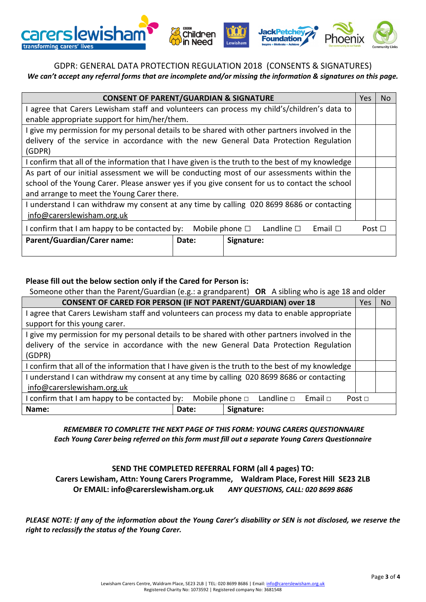

## GDPR: GENERAL DATA PROTECTION REGULATION 2018 (CONSENTS & SIGNATURES) *We can't accept any referral forms that are incomplete and/or missing the information & signatures on this page.*

| <b>CONSENT OF PARENT/GUARDIAN &amp; SIGNATURE</b>                                                             |  |  |  |
|---------------------------------------------------------------------------------------------------------------|--|--|--|
| I agree that Carers Lewisham staff and volunteers can process my child's/children's data to                   |  |  |  |
| enable appropriate support for him/her/them.                                                                  |  |  |  |
| I give my permission for my personal details to be shared with other partners involved in the                 |  |  |  |
| delivery of the service in accordance with the new General Data Protection Regulation                         |  |  |  |
| (GDPR)                                                                                                        |  |  |  |
| I confirm that all of the information that I have given is the truth to the best of my knowledge              |  |  |  |
| As part of our initial assessment we will be conducting most of our assessments within the                    |  |  |  |
| school of the Young Carer. Please answer yes if you give consent for us to contact the school                 |  |  |  |
| and arrange to meet the Young Carer there.                                                                    |  |  |  |
| I understand I can withdraw my consent at any time by calling 020 8699 8686 or contacting                     |  |  |  |
| info@carerslewisham.org.uk                                                                                    |  |  |  |
| I confirm that I am happy to be contacted by:<br>Mobile phone $\square$<br>Landline $\square$<br>Email $\Box$ |  |  |  |
| Parent/Guardian/Carer name:<br>Signature:<br>Date:                                                            |  |  |  |
|                                                                                                               |  |  |  |

### **Please fill out the below section only if the Cared for Person is:**

Someone other than the Parent/Guardian (e.g.: a grandparent) **OR** A sibling who is age 18 and older

| <b>CONSENT OF CARED FOR PERSON (IF NOT PARENT/GUARDIAN) over 18</b>                                        |                                                                                             |            |               | Yes | <b>No</b> |
|------------------------------------------------------------------------------------------------------------|---------------------------------------------------------------------------------------------|------------|---------------|-----|-----------|
|                                                                                                            | I agree that Carers Lewisham staff and volunteers can process my data to enable appropriate |            |               |     |           |
| support for this young carer.                                                                              |                                                                                             |            |               |     |           |
| I give my permission for my personal details to be shared with other partners involved in the              |                                                                                             |            |               |     |           |
| delivery of the service in accordance with the new General Data Protection Regulation                      |                                                                                             |            |               |     |           |
| (GDPR)                                                                                                     |                                                                                             |            |               |     |           |
| I confirm that all of the information that I have given is the truth to the best of my knowledge           |                                                                                             |            |               |     |           |
| I understand I can withdraw my consent at any time by calling 020 8699 8686 or contacting                  |                                                                                             |            |               |     |           |
| info@carerslewisham.org.uk                                                                                 |                                                                                             |            |               |     |           |
| I confirm that I am happy to be contacted by:<br>Mobile phone $\square$ Landline $\square$<br>Email $\Box$ |                                                                                             |            | Post $\sqcap$ |     |           |
| Name:                                                                                                      | Date:                                                                                       | Signature: |               |     |           |

*REMEMBER TO COMPLETE THE NEXT PAGE OF THIS FORM: YOUNG CARERS QUESTIONNAIRE Each Young Carer being referred on this form must fill out a separate Young Carers Questionnaire*

### **SEND THE COMPLETED REFERRAL FORM (all 4 pages) TO:**

**Carers Lewisham, Attn: Young Carers Programme, Waldram Place, Forest Hill SE23 2LB Or EMAIL: info@carerslewisham.org.uk** *ANY QUESTIONS, CALL: 020 8699 8686*

*PLEASE NOTE: If any of the information about the Young Carer's disability or SEN is not disclosed, we reserve the right to reclassify the status of the Young Carer.*